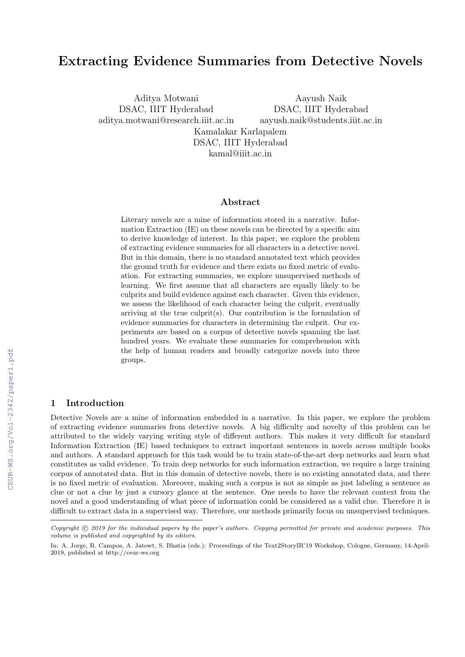# Extracting Evidence Summaries from Detective Novels

Aditya Motwani DSAC, IIIT Hyderabad aditya.motwani@research.iiit.ac.in Kamalakar Karlapalem DSAC, IIIT Hyderabad

Aayush Naik DSAC, IIIT Hyderabad aayush.naik@students.iiit.ac.in

kamal@iiit.ac.in

## Abstract

Literary novels are a mine of information stored in a narrative. Information Extraction (IE) on these novels can be directed by a specific aim to derive knowledge of interest. In this paper, we explore the problem of extracting evidence summaries for all characters in a detective novel. But in this domain, there is no standard annotated text which provides the ground truth for evidence and there exists no fixed metric of evaluation. For extracting summaries, we explore unsupervised methods of learning. We first assume that all characters are equally likely to be culprits and build evidence against each character. Given this evidence, we assess the likelihood of each character being the culprit, eventually arriving at the true culprit(s). Our contribution is the formulation of evidence summaries for characters in determining the culprit. Our experiments are based on a corpus of detective novels spanning the last hundred years. We evaluate these summaries for comprehension with the help of human readers and broadly categorize novels into three groups.

#### 1 Introduction

Detective Novels are a mine of information embedded in a narrative. In this paper, we explore the problem of extracting evidence summaries from detective novels. A big difficulty and novelty of this problem can be attributed to the widely varying writing style of different authors. This makes it very difficult for standard Information Extraction (IE) based techniques to extract important sentences in novels across multiple books and authors. A standard approach for this task would be to train state-of-the-art deep networks and learn what constitutes as valid evidence. To train deep networks for such information extraction, we require a large training corpus of annotated data. But in this domain of detective novels, there is no existing annotated data, and there is no fixed metric of evaluation. Moreover, making such a corpus is not as simple as just labeling a sentence as clue or not a clue by just a cursory glance at the sentence. One needs to have the relevant context from the novel and a good understanding of what piece of information could be considered as a valid clue. Therefore it is difficult to extract data in a supervised way. Therefore, our methods primarily focus on unsupervised techniques.

Copyright © 2019 for the individual papers by the paper's authors. Copying permitted for private and academic purposes. This volume is published and copyrighted by its editors.

In: A. Jorge, R. Campos, A. Jatowt, S. Bhatia (eds.): Proceedings of the Text2StoryIR'19 Workshop, Cologne, Germany, 14-April-2019, published at http://ceur-ws.org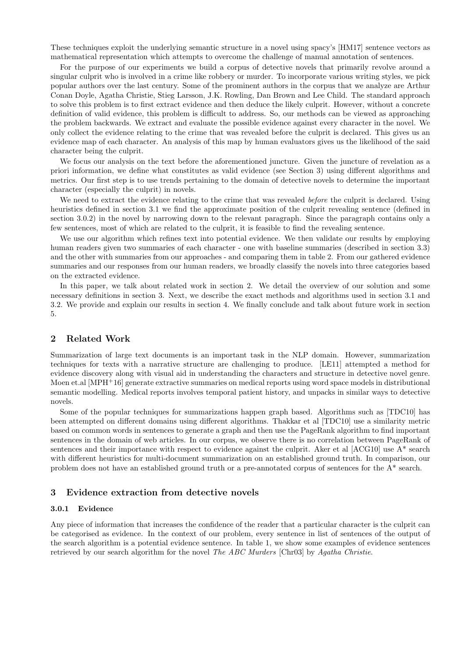These techniques exploit the underlying semantic structure in a novel using spacy's [HM17] sentence vectors as mathematical representation which attempts to overcome the challenge of manual annotation of sentences.

For the purpose of our experiments we build a corpus of detective novels that primarily revolve around a singular culprit who is involved in a crime like robbery or murder. To incorporate various writing styles, we pick popular authors over the last century. Some of the prominent authors in the corpus that we analyze are Arthur Conan Doyle, Agatha Christie, Stieg Larsson, J.K. Rowling, Dan Brown and Lee Child. The standard approach to solve this problem is to first extract evidence and then deduce the likely culprit. However, without a concrete definition of valid evidence, this problem is difficult to address. So, our methods can be viewed as approaching the problem backwards. We extract and evaluate the possible evidence against every character in the novel. We only collect the evidence relating to the crime that was revealed before the culprit is declared. This gives us an evidence map of each character. An analysis of this map by human evaluators gives us the likelihood of the said character being the culprit.

We focus our analysis on the text before the aforementioned juncture. Given the juncture of revelation as a priori information, we define what constitutes as valid evidence (see Section 3) using different algorithms and metrics. Our first step is to use trends pertaining to the domain of detective novels to determine the important character (especially the culprit) in novels.

We need to extract the evidence relating to the crime that was revealed before the culprit is declared. Using heuristics defined in section 3.1 we find the approximate position of the culprit revealing sentence (defined in section 3.0.2) in the novel by narrowing down to the relevant paragraph. Since the paragraph contains only a few sentences, most of which are related to the culprit, it is feasible to find the revealing sentence.

We use our algorithm which refines text into potential evidence. We then validate our results by employing human readers given two summaries of each character - one with baseline summaries (described in section 3.3) and the other with summaries from our approaches - and comparing them in table 2. From our gathered evidence summaries and our responses from our human readers, we broadly classify the novels into three categories based on the extracted evidence.

In this paper, we talk about related work in section 2. We detail the overview of our solution and some necessary definitions in section 3. Next, we describe the exact methods and algorithms used in section 3.1 and 3.2. We provide and explain our results in section 4. We finally conclude and talk about future work in section 5.

# 2 Related Work

Summarization of large text documents is an important task in the NLP domain. However, summarization techniques for texts with a narrative structure are challenging to produce. [LE11] attempted a method for evidence discovery along with visual aid in understanding the characters and structure in detective novel genre. Moen et.al [MPH+16] generate extractive summaries on medical reports using word space models in distributional semantic modelling. Medical reports involves temporal patient history, and unpacks in similar ways to detective novels.

Some of the popular techniques for summarizations happen graph based. Algorithms such as [TDC10] has been attempted on different domains using different algorithms. Thakkar et al [TDC10] use a similarity metric based on common words in sentences to generate a graph and then use the PageRank algorithm to find important sentences in the domain of web articles. In our corpus, we observe there is no correlation between PageRank of sentences and their importance with respect to evidence against the culprit. Aker et al [ACG10] use A\* search with different heuristics for multi-document summarization on an established ground truth. In comparison, our problem does not have an established ground truth or a pre-annotated corpus of sentences for the A\* search.

## 3 Evidence extraction from detective novels

#### 3.0.1 Evidence

Any piece of information that increases the confidence of the reader that a particular character is the culprit can be categorised as evidence. In the context of our problem, every sentence in list of sentences of the output of the search algorithm is a potential evidence sentence. In table 1, we show some examples of evidence sentences retrieved by our search algorithm for the novel *The ABC Murders* [Chr03] by Agatha Christie.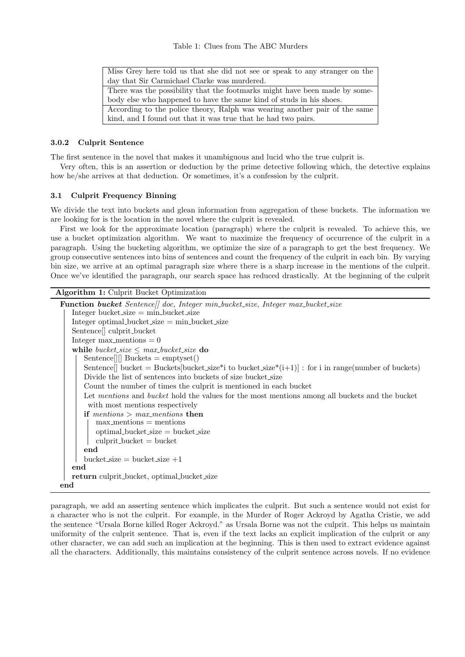| Miss Grey here told us that she did not see or speak to any stranger on the |  |  |  |  |  |
|-----------------------------------------------------------------------------|--|--|--|--|--|
| day that Sir Carmichael Clarke was murdered.                                |  |  |  |  |  |
| There was the possibility that the footmarks might have been made by some-  |  |  |  |  |  |
| body else who happened to have the same kind of studs in his shoes.         |  |  |  |  |  |
| According to the police theory, Ralph was wearing another pair of the same  |  |  |  |  |  |
| kind, and I found out that it was true that he had two pairs.               |  |  |  |  |  |

### 3.0.2 Culprit Sentence

The first sentence in the novel that makes it unambiguous and lucid who the true culprit is.

Very often, this is an assertion or deduction by the prime detective following which, the detective explains how he/she arrives at that deduction. Or sometimes, it's a confession by the culprit.

#### 3.1 Culprit Frequency Binning

We divide the text into buckets and glean information from aggregation of these buckets. The information we are looking for is the location in the novel where the culprit is revealed.

First we look for the approximate location (paragraph) where the culprit is revealed. To achieve this, we use a bucket optimization algorithm. We want to maximize the frequency of occurrence of the culprit in a paragraph. Using the bucketing algorithm, we optimize the size of a paragraph to get the best frequency. We group consecutive sentences into bins of sentences and count the frequency of the culprit in each bin. By varying bin size, we arrive at an optimal paragraph size where there is a sharp increase in the mentions of the culprit. Once we've identified the paragraph, our search space has reduced drastically. At the beginning of the culprit

| <b>Algorithm 1:</b> Culprit Bucket Optimization                                                        |  |  |  |  |  |  |  |
|--------------------------------------------------------------------------------------------------------|--|--|--|--|--|--|--|
| <b>Function bucket</b> Sentence    doc, Integer min_bucket_size, Integer max_bucket_size               |  |  |  |  |  |  |  |
| $Integer \ bucket_size = min_bucket_size$                                                              |  |  |  |  |  |  |  |
| $Integer optimal_bucket_size = min_bucket_size$                                                        |  |  |  |  |  |  |  |
| Sentence <sup>[]</sup> culprit_bucket                                                                  |  |  |  |  |  |  |  |
| Integer $max\_methods = 0$                                                                             |  |  |  |  |  |  |  |
| while bucket_size $\leq$ max_bucket_size do                                                            |  |  |  |  |  |  |  |
| $\text{Sentence}$    Buckets = emptyset()                                                              |  |  |  |  |  |  |  |
| Sentence where $\leq$ Buckets bucket size* i to bucket size*(i+1) : for i in range (number of buckets) |  |  |  |  |  |  |  |
| Divide the list of sentences into buckets of size bucket size                                          |  |  |  |  |  |  |  |
| Count the number of times the culprit is mentioned in each bucket                                      |  |  |  |  |  |  |  |
| Let mentions and bucket hold the values for the most mentions among all buckets and the bucket         |  |  |  |  |  |  |  |
| with most mentions respectively                                                                        |  |  |  |  |  |  |  |
| if mentions $>$ max mentions then                                                                      |  |  |  |  |  |  |  |
| $max\_methods = mentions$                                                                              |  |  |  |  |  |  |  |
| $optimal_bucket_size = bucket_size$                                                                    |  |  |  |  |  |  |  |
| $\text{culprit_bucket} = \text{bucket}$                                                                |  |  |  |  |  |  |  |
| end                                                                                                    |  |  |  |  |  |  |  |
| bucket_size = bucket_size $+1$                                                                         |  |  |  |  |  |  |  |
| end                                                                                                    |  |  |  |  |  |  |  |
| return culprit_bucket, optimal_bucket_size                                                             |  |  |  |  |  |  |  |
| end                                                                                                    |  |  |  |  |  |  |  |

paragraph, we add an asserting sentence which implicates the culprit. But such a sentence would not exist for a character who is not the culprit. For example, in the Murder of Roger Ackroyd by Agatha Cristie, we add the sentence "Ursala Borne killed Roger Ackroyd." as Ursala Borne was not the culprit. This helps us maintain uniformity of the culprit sentence. That is, even if the text lacks an explicit implication of the culprit or any other character, we can add such an implication at the beginning. This is then used to extract evidence against all the characters. Additionally, this maintains consistency of the culprit sentence across novels. If no evidence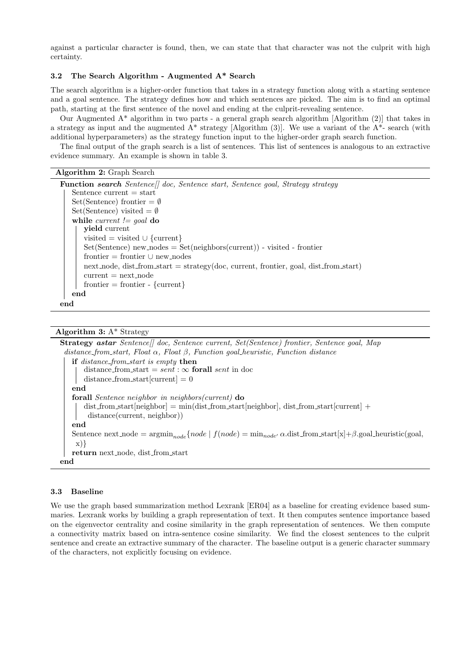against a particular character is found, then, we can state that that character was not the culprit with high certainty.

## 3.2 The Search Algorithm - Augmented A\* Search

The search algorithm is a higher-order function that takes in a strategy function along with a starting sentence and a goal sentence. The strategy defines how and which sentences are picked. The aim is to find an optimal path, starting at the first sentence of the novel and ending at the culprit-revealing sentence.

Our Augmented A\* algorithm in two parts - a general graph search algorithm [Algorithm (2)] that takes in a strategy as input and the augmented  $A^*$  strategy [Algorithm (3)]. We use a variant of the  $A^*$ - search (with additional hyperparameters) as the strategy function input to the higher-order graph search function.

The final output of the graph search is a list of sentences. This list of sentences is analogous to an extractive evidence summary. An example is shown in table 3.

#### Algorithm 2: Graph Search

| <b>Function search</b> Sentence    doc, Sentence start, Sentence goal, Strategy strategy |
|------------------------------------------------------------------------------------------|
| Sentence current $=$ start                                                               |
| $Set(Sentence)$ frontier $=\emptyset$                                                    |
| Set(Sentence) visited $=\emptyset$                                                       |
| while current $!=$ goal do                                                               |
| yield current                                                                            |
| visited = visited $\cup$ {current}                                                       |
| $Set(Sentence) new nodes = Set(neighbors(current))$ - visited - frontier                 |
| frontier $=$ frontier $\cup$ new nodes                                                   |
| $next-node, dist_from.start = strategy(doc, current, frontier, goal, dist_from.start)$   |
| $current = next-node$                                                                    |
| frontier = frontier - {current}                                                          |
| end                                                                                      |
| end                                                                                      |

# Algorithm 3:  $A^*$  Strategy

Strategy astar Sentence [] doc, Sentence current, Set(Sentence) frontier, Sentence goal, Map distance from start, Float  $\alpha$ , Float  $\beta$ , Function goal heuristic, Function distance if distance\_from\_start is empty then distance from start =  $sent : \infty$  forall sent in doc  $distance_{\text{from}\_\text{start}[\text{current}]} = 0$ end forall Sentence neighbor in neighbors(current) do dist from start[neighbor] = min(dist from start[neighbor], dist from start[current] + distance(current, neighbor)) end Sentence next node =  $\text{argmin}_{node} \{node \mid f(node) = \text{min}_{node'} \alpha \text{.dist\_from\_start}[x] + \beta \text{.goal\_heuristic(goa]},\}$ x)} return next node, dist from start end

### 3.3 Baseline

We use the graph based summarization method Lexrank [ER04] as a baseline for creating evidence based summaries. Lexrank works by building a graph representation of text. It then computes sentence importance based on the eigenvector centrality and cosine similarity in the graph representation of sentences. We then compute a connectivity matrix based on intra-sentence cosine similarity. We find the closest sentences to the culprit sentence and create an extractive summary of the character. The baseline output is a generic character summary of the characters, not explicitly focusing on evidence.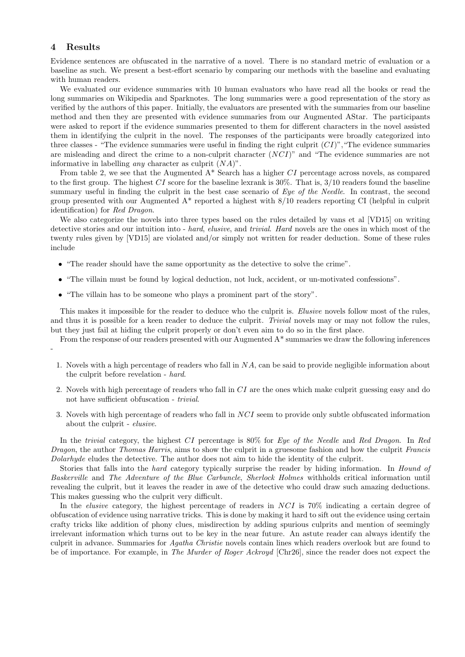## 4 Results

Evidence sentences are obfuscated in the narrative of a novel. There is no standard metric of evaluation or a baseline as such. We present a best-effort scenario by comparing our methods with the baseline and evaluating with human readers.

We evaluated our evidence summaries with 10 human evaluators who have read all the books or read the long summaries on Wikipedia and Sparknotes. The long summaries were a good representation of the story as verified by the authors of this paper. Initially, the evaluators are presented with the summaries from our baseline method and then they are presented with evidence summaries from our Augmented AStar. The participants were asked to report if the evidence summaries presented to them for different characters in the novel assisted them in identifying the culprit in the novel. The responses of the participants were broadly categorized into three classes - "The evidence summaries were useful in finding the right culprit  $(CI)$ ", "The evidence summaries are misleading and direct the crime to a non-culprit character  $(NCI)$ " and "The evidence summaries are not informative in labelling *any* character as culprit  $(NA)$ ".

From table 2, we see that the Augmented  $A^*$  Search has a higher CI percentage across novels, as compared to the first group. The highest  $CI$  score for the baseline lexrank is 30%. That is,  $3/10$  readers found the baseline summary useful in finding the culprit in the best case scenario of Eye of the Needle. In contrast, the second group presented with our Augmented A\* reported a highest with 8/10 readers reporting CI (helpful in culprit identification) for Red Dragon.

We also categorize the novels into three types based on the rules detailed by vans et al [VD15] on writing detective stories and our intuition into - hard, elusive, and trivial. Hard novels are the ones in which most of the twenty rules given by [VD15] are violated and/or simply not written for reader deduction. Some of these rules include

- "The reader should have the same opportunity as the detective to solve the crime".
- "The villain must be found by logical deduction, not luck, accident, or un-motivated confessions".
- "The villain has to be someone who plays a prominent part of the story".

This makes it impossible for the reader to deduce who the culprit is. Elusive novels follow most of the rules, and thus it is possible for a keen reader to deduce the culprit. Trivial novels may or may not follow the rules, but they just fail at hiding the culprit properly or don't even aim to do so in the first place.

From the response of our readers presented with our Augmented A\* summaries we draw the following inferences -

- 1. Novels with a high percentage of readers who fall in NA, can be said to provide negligible information about the culprit before revelation - hard.
- 2. Novels with high percentage of readers who fall in CI are the ones which make culprit guessing easy and do not have sufficient obfuscation - trivial.
- 3. Novels with high percentage of readers who fall in NCI seem to provide only subtle obfuscated information about the culprit - elusive.

In the trivial category, the highest CI percentage is 80% for Eye of the Needle and Red Dragon. In Red Dragon, the author Thomas Harris, aims to show the culprit in a gruesome fashion and how the culprit Francis Dolarhyde eludes the detective. The author does not aim to hide the identity of the culprit.

Stories that falls into the *hard* category typically surprise the reader by hiding information. In *Hound of* Baskerville and The Adventure of the Blue Carbuncle, Sherlock Holmes withholds critical information until revealing the culprit, but it leaves the reader in awe of the detective who could draw such amazing deductions. This makes guessing who the culprit very difficult.

In the *elusive* category, the highest percentage of readers in NCI is 70% indicating a certain degree of obfuscation of evidence using narrative tricks. This is done by making it hard to sift out the evidence using certain crafty tricks like addition of phony clues, misdirection by adding spurious culprits and mention of seemingly irrelevant information which turns out to be key in the near future. An astute reader can always identify the culprit in advance. Summaries for Agatha Christie novels contain lines which readers overlook but are found to be of importance. For example, in The Murder of Roger Ackroyd [Chr26], since the reader does not expect the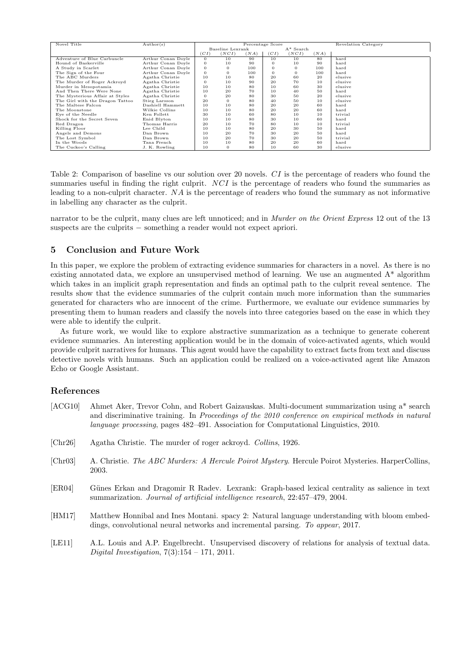| Novel Title                     | Author(s)          | Percentage Score                 |          |      |          |          |      | <b>Revelation Category</b> |
|---------------------------------|--------------------|----------------------------------|----------|------|----------|----------|------|----------------------------|
|                                 |                    | $A^*$ Search<br>Baseline Lexrank |          |      |          |          |      |                            |
|                                 |                    | (CI)                             | (NCI)    | (NA) | (CI)     | (NCI)    | (NA) |                            |
| Adventure of Blue Carbuncle     | Arthur Conan Doyle | $\overline{0}$                   | 10       | 90   | 10       | 10       | 80   | hard                       |
| Hound of Baskerville            | Arthur Conan Doyle | $\theta$                         | 10       | 90   | $\Omega$ | 10       | 90   | hard                       |
| A Study in Scarlet              | Arthur Conan Doyle | $\theta$                         | $\Omega$ | 100  | $\Omega$ | $\sigma$ | 100  | hard                       |
| The Sign of the Four            | Arthur Conan Doyle | $\theta$                         | $\Omega$ | 100  | $\Omega$ | 0        | 100  | hard                       |
| The ABC Murders                 | Agatha Christie    | 10                               | 10       | 80   | 20       | 60       | 20   | elusive                    |
| The Murder of Roger Ackroyd     | Agatha Christie    | $\theta$                         | 10       | 90   | 20       | 70       | 10   | elusive                    |
| Murder in Mesopotamia           | Agatha Christie    | 10                               | 10       | 80   | 10       | 60       | 30   | elusive                    |
| And Then There Were None        | Agatha Christie    | 10                               | 20       | 70   | 10       | 40       | 50   | hard                       |
| The Mysterious Affair at Styles | Agatha Christie    | $\overline{0}$                   | 20       | 80   | 30       | 50       | 20   | elusive                    |
| The Girl with the Dragon Tattoo | Stieg Larsson      | 20                               | $\Omega$ | 80   | 40       | 50       | 10   | elusive                    |
| The Maltese Falcon              | Dashiell Hammett   | 10                               | 10       | 80   | 20       | 20       | 60   | hard                       |
| The Moonstone                   | Wilkie Collins     | 10                               | 10       | 80   | 20       | 20       | 60   | hard                       |
| Eye of the Needle               | Ken Follett        | 30                               | 10       | 60   | 80       | 10       | 10   | trivial                    |
| Shock for the Secret Seven      | Enid Blyton        | 10                               | 10       | 80   | 30       | 10       | 60   | hard                       |
| Red Dragon                      | Thomas Harris      | 20                               | 10       | 70   | 80       | 10       | 10   | trivial                    |
| Killing Floor                   | Lee Child          | 10                               | 10       | 80   | 20       | 30       | 50   | hard                       |
| Angels and Demons               | Dan Brown          | 10                               | 20       | 70   | 30       | 20       | 50   | hard                       |
| The Lost Symbol                 | Dan Brown          | 10                               | 20       | 70   | 30       | 20       | 50   | trivial                    |
| In the Woods                    | Tana French        | 10                               | 10       | 80   | 20       | 20       | 60   | hard                       |
| The Cuckoo's Calling            | J. K. Rowling      | 10                               | $\Omega$ | 80   | 10       | 60       | 30   | elusive                    |

Table 2: Comparison of baseline vs our solution over 20 novels. CI is the percentage of readers who found the summaries useful in finding the right culprit. NCI is the percentage of readers who found the summaries as leading to a non-culprit character. NA is the percentage of readers who found the summary as not informative in labelling any character as the culprit.

narrator to be the culprit, many clues are left unnoticed; and in *Murder on the Orient Express* 12 out of the 13 suspects are the culprits – something a reader would not expect apriori.

## 5 Conclusion and Future Work

In this paper, we explore the problem of extracting evidence summaries for characters in a novel. As there is no existing annotated data, we explore an unsupervised method of learning. We use an augmented A\* algorithm which takes in an implicit graph representation and finds an optimal path to the culprit reveal sentence. The results show that the evidence summaries of the culprit contain much more information than the summaries generated for characters who are innocent of the crime. Furthermore, we evaluate our evidence summaries by presenting them to human readers and classify the novels into three categories based on the ease in which they were able to identify the culprit.

As future work, we would like to explore abstractive summarization as a technique to generate coherent evidence summaries. An interesting application would be in the domain of voice-activated agents, which would provide culprit narratives for humans. This agent would have the capability to extract facts from text and discuss detective novels with humans. Such an application could be realized on a voice-activated agent like Amazon Echo or Google Assistant.

## References

- [ACG10] Ahmet Aker, Trevor Cohn, and Robert Gaizauskas. Multi-document summarization using a\* search and discriminative training. In Proceedings of the 2010 conference on empirical methods in natural language processing, pages 482–491. Association for Computational Linguistics, 2010.
- [Chr26] Agatha Christie. The murder of roger ackroyd. Collins, 1926.
- [Chr03] A. Christie. The ABC Murders: A Hercule Poirot Mystery. Hercule Poirot Mysteries. HarperCollins, 2003.
- [ER04] G¨unes Erkan and Dragomir R Radev. Lexrank: Graph-based lexical centrality as salience in text summarization. Journal of artificial intelligence research, 22:457–479, 2004.
- [HM17] Matthew Honnibal and Ines Montani. spacy 2: Natural language understanding with bloom embeddings, convolutional neural networks and incremental parsing. To appear, 2017.
- [LE11] A.L. Louis and A.P. Engelbrecht. Unsupervised discovery of relations for analysis of textual data. Digital Investigation,  $7(3):154 - 171$ ,  $2011$ .